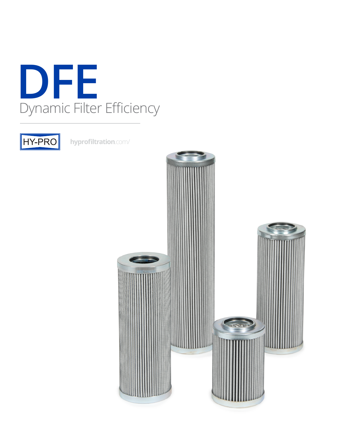



**[hyprofiltration](http://hyprofiltration.com/)**.com/

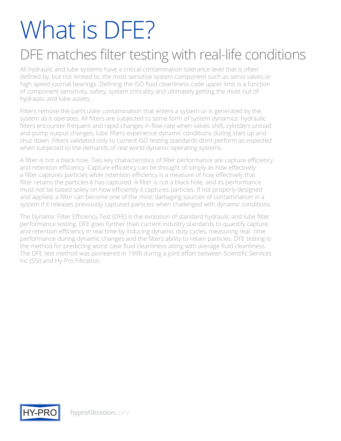# What is DFF?

### DFE matches filter testing with real-life conditions

All hydraulic and lube systems have a critical contamination tolerance level that is often defined by, but not limited to, the most sensitive system component such as servo valves or high speed journal bearings. Defining the ISO fluid cleanliness code upper limit is a function of component sensitivity, safety, system criticality and ultimately getting the most out of hydraulic and lube assets.

Filters remove the particulate contamination that enters a system or is generated by the system as it operates. All filters are subjected to some form of system dynamics: hydraulic filters encounter frequent and rapid changes in flow rate when valves shift, cylinders unload and pump output changes; lube filters experience dynamic conditions during start up and shut down. Filters validated only to current ISO testing standards don't perform as expected when subjected to the demands of real world dynamic operating systems.

A filter is not a black hole. Two key characteristics of filter performance are capture efficiency and retention efficiency. Capture efficiency can be thought of simply as how effectively a filter captures particles while retention efficiency is a measure of how effectively that filter retains the particles it has captured. A filter is not a black hole, and its performance must not be based solely on how efficiently it captures particles. If not properly designed and applied, a filter can become one of the most damaging sources of contamination in a system if it releases previously captured particles when challenged with dynamic conditions.

The Dynamic Filter Efficiency Test (DFE) is the evolution of standard hydraulic and lube filter performance testing. DFE goes further than current industry standards to quantify capture and retention efficiency in real time by inducing dynamic duty cycles, measuring real- time performance during dynamic changes and the filters ability to retain particles. DFE testing is the method for predicting worst case fluid cleanliness along with average fluid cleanliness. The DFE test method was pioneered in 1998 during a joint effort between Scientific Services Inc (SSI) and Hy-Pro Filtration.

![](_page_1_Picture_6.jpeg)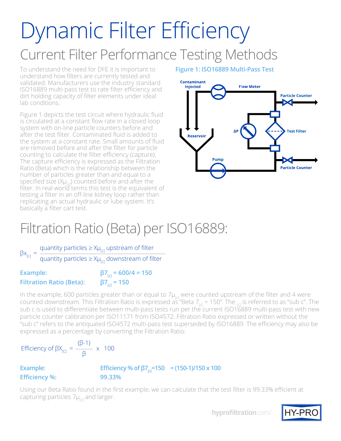## Dynamic Filter Efficiency Current Filter Performance Testing Methods

To understand the need for DFE it is important to understand how filters are currently tested and validated. Manufacturers use the industry standard ISO16889 multi-pass test to rate filter efficiency and dirt holding capacity of filter elements under ideal lab conditions.

Figure 1 depicts the test circuit where hydraulic fluid is circulated at a constant flow rate in a closed loop system with on-line particle counters before and after the test filter. Contaminated fluid is added to the system at a constant rate. Small amounts of fluid are removed before and after the filter for particle counting to calculate the filter efficiency (capture). The capture efficiency is expressed as the Filtration Ratio (Beta) which is the relationship between the number of particles greater than and equal to a specified size ( $X\mu_{rc}$ ) counted before and after the filter. In real world terms this test is the equivalent of testing a filter in an off-line kidney loop rather than replicating an actual hydraulic or lube system. It's basically a filter cart test.

#### **Figure 1: ISO16889 Multi-Pass Test**

![](_page_2_Figure_4.jpeg)

### Filtration Ratio (Beta) per ISO16889:

 $\beta x_{c}$  = quantity particles ≥ Xµ<sub>[c]</sub> upstream of filter

quantity particles ≥ Xµ<sub>[c]</sub> downstream of filter

**Example:**  $\beta7_{\text{rel}} = 600/4 = 150$ **Filtration Ratio (Beta): β7[c] = 150**

In the example, 600 particles greater than or equal to  $7\mu_{rel}$  were counted upstream of the filter and 4 were counted downstream. This Filtration Ratio is expressed as "Beta  $7_{rel}$  = 150". The  $_{rel}$  is referred to as "sub c". The sub c is used to differentiate between multi-pass tests run per the current ISO16889 multi-pass test with new particle counter calibration per ISO11171 from ISO4572. Filtration Ratio expressed or written without the "sub c" refers to the antiquated ISO4572 multi-pass test superseded by ISO16889. The efficiency may also be expressed as a percentage by converting the Filtration Ratio:

Efficiency of  $\beta X_{[C]} = \frac{(\beta-1)}{2} \times 100$ β

| <b>Example:</b>      | Efficiency % of $\beta$ 7 <sub>rd</sub> =150 = (150-1)/150 x 100 |  |
|----------------------|------------------------------------------------------------------|--|
| <b>Efficiency %:</b> | 99.33%                                                           |  |

Using our Beta Ratio found in the first example, we can calculate that the test filter is 99.33% efficient at capturing particles  $7\mu_{\text{rel}}$  and larger.

**[hyprofiltration](http://hyprofiltration.com/)**.com/

![](_page_2_Picture_14.jpeg)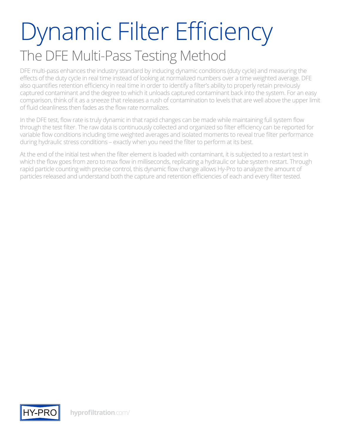## Dynamic Filter Efficiency The DFE Multi-Pass Testing Method

DFE multi-pass enhances the industry standard by inducing dynamic conditions (duty cycle) and measuring the effects of the duty cycle in real time instead of looking at normalized numbers over a time weighted average. DFE also quantifies retention efficiency in real time in order to identify a filter's ability to properly retain previously captured contaminant and the degree to which it unloads captured contaminant back into the system. For an easy comparison, think of it as a sneeze that releases a rush of contamination to levels that are well above the upper limit of fluid cleanliness then fades as the flow rate normalizes.

In the DFE test, flow rate is truly dynamic in that rapid changes can be made while maintaining full system flow through the test filter. The raw data is continuously collected and organized so filter efficiency can be reported for variable flow conditions including time weighted averages and isolated moments to reveal true filter performance during hydraulic stress conditions – exactly when you need the filter to perform at its best.

At the end of the initial test when the filter element is loaded with contaminant, it is subjected to a restart test in which the flow goes from zero to max flow in milliseconds, replicating a hydraulic or lube system restart. Through rapid particle counting with precise control, this dynamic flow change allows Hy-Pro to analyze the amount of particles released and understand both the capture and retention efficiencies of each and every filter tested.

![](_page_3_Picture_4.jpeg)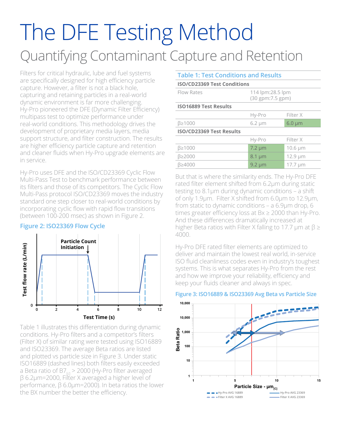### The DFE Testing Method Quantifying Contaminant Capture and Retention

Filters for critical hydraulic, lube and fuel systems are specifically designed for high efficiency particle capture. However, a filter is not a black hole, capturing and retaining particles in a real-world dynamic environment is far more challenging. Hy-Pro pioneered the DFE (Dynamic Filter Efficiency) multipass test to optimize performance under real-world conditions. This methodology drives the development of proprietary media layers, media support structure, and filter construction. The results are higher efficiency particle capture and retention and cleaner fluids when Hy-Pro upgrade elements are in service.

Hy-Pro uses DFE and the ISO/CD23369 Cyclic Flow Multi-Pass Test to benchmark performance between its filters and those of its competitors. The Cyclic Flow Multi-Pass protocol ISO/CD23369 moves the industry standard one step closer to real-world conditions by incorporating cyclic flow with rapid flow transitions (between 100-200 msec) as shown in Figure 2.

#### **Figure 2: ISO23369 Flow Cycle**

![](_page_4_Figure_4.jpeg)

Table 1 illustrates this differentiation during dynamic conditions. Hy-Pro filters and a competitor's filters (Filter X) of similar rating were tested using ISO16889 and ISO23369. The average Beta ratios are listed and plotted vs particle size in Figure 3. Under static ISO16889 (dashed lines) both filters easily exceeded a Beta ratio of B7 $_{\text{ref}}$  > 2000 (Hy-Pro filter averaged β 6.2µm=2000, Filter X averaged a higher level of performance, β 6.0µm=2000). In beta ratios the lower the BX number the better the efficiency.

| <b>Table 1: Test Conditions and Results</b> |             |                                       |  |  |  |  |
|---------------------------------------------|-------------|---------------------------------------|--|--|--|--|
| <b>ISO/CD23369 Test Conditions</b>          |             |                                       |  |  |  |  |
| Flow Rates                                  |             | 114 lpm:28.5 lpm<br>(30 gpm: 7.5 gpm) |  |  |  |  |
| <b>ISO16889 Test Results</b>                |             |                                       |  |  |  |  |
|                                             | Hy-Pro      | Filter X                              |  |  |  |  |
| B≥1000                                      | $6.2 \mu m$ | $6.0 \mu m$                           |  |  |  |  |
| <b>ISO/CD23369 Test Results</b>             |             |                                       |  |  |  |  |
|                                             | Hy-Pro      | Filter X                              |  |  |  |  |
| B≥1000                                      | $7.2 \mu m$ | 10.6 µm                               |  |  |  |  |
| B≥2000                                      | $8.1 \mu m$ | $12.9 \mu m$                          |  |  |  |  |
| B≥4000                                      | $9.2 \mu m$ | $17.7 \mu m$                          |  |  |  |  |
|                                             |             |                                       |  |  |  |  |

But that is where the similarity ends. The Hy-Pro DFE rated filter element shifted from 6.2µm during static testing to 8.1µm during dynamic conditions – a shift of only 1.9µm. Filter X shifted from 6.0µm to 12.9µm, from static to dynamic conditions – a 6.9µm drop, 6 times greater efficiency loss at Bx ≥ 2000 than Hy-Pro. And these differences dramatically increased at higher Beta ratios with Filter X falling to 17.7  $\mu$ m at  $\beta \geq$ 4000.

Hy-Pro DFE rated filter elements are optimized to deliver and maintain the lowest real world, in-service ISO fluid cleanliness codes even in industry's toughest systems. This is what separates Hy-Pro from the rest and how we improve your reliability, efficiency and keep your fluids cleaner and always in spec.

![](_page_4_Figure_9.jpeg)

#### **Figure 3: ISO16889 & ISO23369 Avg Beta vs Particle Size**